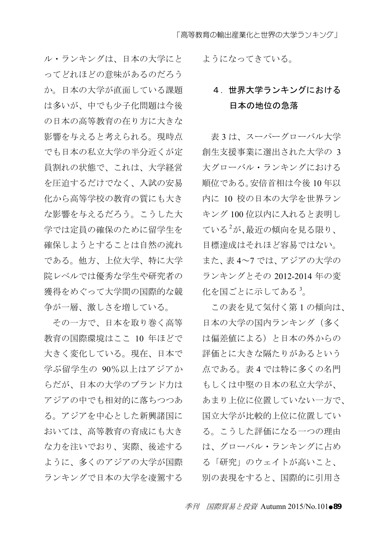ル・ランキングは、日本の大学にと ってどれほどの意味があるのだろう か。日本の大学が直面している課題 は多いが、中でも少子化問題は今後 の日本の高等教育の在り方に大きな 影響を与えると考えられる。現時点 でも日本の私立大学の半分近くが定 員割れの状態で、これは、大学経営 を圧迫するだけでなく、入試の安易 化から高等学校の教育の質にも大き な影響を与えるだろう。こうした大 学では定員の確保のために留学生を 確保しようとすることは自然の流れ である。他方、上位大学、特に大学 院レベルでは優秀な学生や研究者の 獲得をめぐって大学間の国際的な競 争が一層、激しさを増している。

その一方で、日本を取り巻く高等 教育の国際環境はここ 10 年ほどで 大きく変化している。現在、日本で 学ぶ留学生の 90%以上はアジアか らだが、日本の大学のブランド力は アジアの中でも相対的に落ちつつあ る。アジアを中心とした新興諸国に おいては、高等教育の育成にも大き な力を注いでおり、実際、後述する ように、多くのアジアの大学が国際 ランキングで日本の大学を凌駕する

ようになってきている。

# 4.世界大学ランキングにおける 日本の地位の急落

表3は、スーパーグローバル大学 創生支援事業に選出された大学の 3 大グローバル・ランキングにおける 順位である。安倍首相は今後 10 年以 内に 10 校の日本の大学を世界ラン キング 100 位以内に入れると表明し ている<sup>2</sup>が、最近の傾向を見る限り、 目標達成はそれほど容易ではない。 また、表 4~7 では、アジアの大学の ランキングとその 2012-2014 年の変 化を国ごとに示してある<sup>3</sup>。

この表を見て気付く第 1 の傾向は、 日本の大学の国内ランキング(多く は偏差値による)と日本の外からの 評価とに大きな隔たりがあるという 点である。表 4 では特に多くの名門 もしくは中堅の日本の私立大学が、 あまり上位に位置していない一方で、 国立大学が比較的上位に位置してい る。こうした評価になる一つの理由 は、グローバル・ランキングに占め る「研究」のウェイトが高いこと、 別の表現をすると、国際的に引用さ

季刊 国際貿易と投資 Autumn 2015/No.101●89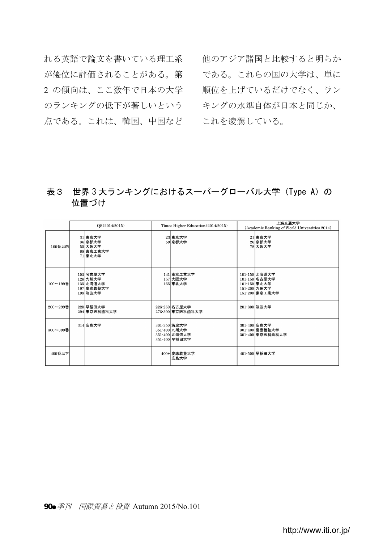れる英語で論文を書いている理工系 他のアジア諸国と比較すると明らか が優位に評価されることがある。第 である。これらの国の大学は、単に 2 の傾向は、ここ数年で日本の大学 のランキングの低下が著しいという――キングの水準自体が日本と同じか、 点である。これは、韓国、中国など これを凌駕している。

順位を上げているだけでなく、ラン

# 表3 世界 3 大ランキングにおけるスーパーグローバル大学 (Type A) の 位置づけ

|               | QS(2014/2015)                                                | Times Higher Education (2014/2015)                             | 上海交通大学<br>(Academic Ranking of World Universities 2014)                          |  |
|---------------|--------------------------------------------------------------|----------------------------------------------------------------|----------------------------------------------------------------------------------|--|
| 100番以内        | 31 東京大学<br>36 京都大学<br>55 大阪大学<br>68 東京工業大学<br>71 東北大学        | 23 東京大学<br>59 京都大学                                             | 21 東京大学<br>26 京都大学<br>78 大阪大学                                                    |  |
| $100 - 199$ 番 | 103 名古屋大学<br>126 九州大学<br>135 北海道大学<br>197 慶應義塾大学<br>198 筑波大学 | 141 東京工業大学<br>157 大阪大学<br>165 東北大学                             | 101-150 北海道大学<br>101-150 名古屋大学<br>101-150 東北大学<br>151-200 九州大学<br>151-200 東京工業大学 |  |
| $200 - 299$ 番 | 220 早稲田大学<br>294 東京医科歯科大学                                    | 226-250 名古屋大学<br>276-300 東京医科歯科大学                              | 201-300 筑波大学                                                                     |  |
| 300~399番      | 314 広島大学                                                     | 301-350 筑波大学<br>351-400 九州大学<br>351-400 北海道大学<br>351-400 早稲田大学 | 301-400 広島大学<br>301-400 慶應義塾大学<br>301-400 東京医科歯科大学                               |  |
| 400番以下        |                                                              | 400+ 慶應義塾大学<br>広島大学                                            | 401-500 早稲田大学                                                                    |  |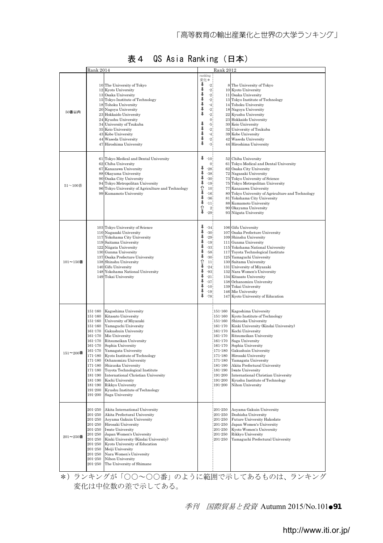|               | Rank 2014                                                                                                                                                                                                                          |                                                                                                                                                                                                                                                                                                                                                                                                                                                                      |                                                                     |                                                                                                                                                                       | Rank 2012                                                                                                                                                                                    |                                                                                                                                                                                                                                                                                                                                                                                                                                                  |
|---------------|------------------------------------------------------------------------------------------------------------------------------------------------------------------------------------------------------------------------------------|----------------------------------------------------------------------------------------------------------------------------------------------------------------------------------------------------------------------------------------------------------------------------------------------------------------------------------------------------------------------------------------------------------------------------------------------------------------------|---------------------------------------------------------------------|-----------------------------------------------------------------------------------------------------------------------------------------------------------------------|----------------------------------------------------------------------------------------------------------------------------------------------------------------------------------------------|--------------------------------------------------------------------------------------------------------------------------------------------------------------------------------------------------------------------------------------------------------------------------------------------------------------------------------------------------------------------------------------------------------------------------------------------------|
| 50番以内         | 13<br>47                                                                                                                                                                                                                           | 10 The University of Tokyo<br>12 Kyoto University<br>Osaka University<br>15 Tokyo Institute of Technology<br>18 Tohoku University<br>20 Nagoya University<br>23 Hokkaido University<br>24 Kyushu University<br>34 University of Tsukuba<br>35 Keio University<br>43 Kobe University<br>44 Waseda University<br>Hiroshima University                                                                                                                                  | ranking<br>変化*<br>------<br>Ŷ.<br>J<br>$\frac{1}{4}$<br>Ŷ.<br>ı     | $^{\circ 2}$<br>$^{\rm -2}$<br>$-2$<br>$\begin{array}{c} 2 \\ 4 \end{array}$<br>$\cdot$ 2<br>$\begin{smallmatrix}2&&&&2\\&0&&5\\&5&&2\\&4&&2\end{smallmatrix}$<br>-31 | 11                                                                                                                                                                                           | 8 The University of Tokyo<br>10 Kyoto University<br>Osaka University<br>13 Tokyo Institute of Technology<br>14 Tohoku University<br>18 Nagoya University<br>22 Kyushu University<br>23 Hokkaido University<br>30 Keio University<br>32 University of Tsukuba<br>39 Kobe University<br>42 Waseda University<br>44 Hiroshima University                                                                                                            |
| $51 - 100$ 番  | 67<br>99                                                                                                                                                                                                                           | 61 Tokyo Medical and Dental University<br>62 Chiba University<br>Kanazawa University<br>88 Okayama University<br>90 Osaka City University<br>94 Tokyo Metropolitan University<br>96 Tokyo University of Agriculture and Technology<br>Kumamoto University                                                                                                                                                                                                            | ↓<br>⇓<br>Ļ<br>↓<br>⇧<br>⇓<br>Į,<br>Î                               | $-10.$<br>$\mathbf{0}$<br>$-28.$<br>$-381$<br>$-30.$<br>$-19.$<br>10<br>$-16$<br>$-36$<br>$-111$<br>$^{2}$<br>$-29.$                                                  | 77                                                                                                                                                                                           | 52 Chiba University<br>61 Tokyo Medical and Dental University<br>62 Osaka City University<br>72 Nagasaki University<br>73 Tokyo University of Science<br>75 Tokyo Metropolitan University<br>Kanazawa University<br>80 Tokyo University of Agriculture and Technology<br>81 Yokohama City University<br>88 Kumamoto University<br>90 Okayama University<br>93 Niigata University                                                                 |
| 101~150番      |                                                                                                                                                                                                                                    | 103 Tokyo University of Science<br>110 Nagasaki University<br>117 Yokohama City University<br>119 Saitama University<br>122 Niigata University<br>130 Gunma University<br>137 Osaka Prefecture University<br>138 Shinshu University<br>140 Gifu University<br>148 Yokohama National University<br>149 Tokai University                                                                                                                                               | л<br>ı<br>↓<br>₽<br>J<br>л<br>⇧<br>⇓<br>Į.<br>ı<br>↓<br>ı<br>ı<br>ı | $-34.$<br>$-301$<br>$-29.$<br>$-19$<br>$-33.$<br>$-58.$<br>$-30.$<br>11 <sup>1</sup><br>$-24.$<br>$-93.$<br>$-21.$<br>$-37$<br>$-10$<br>$-19.$<br>$-78$               |                                                                                                                                                                                              | 106 Gifu University<br>107 Osaka Prefecture University<br>109 Shinshu University<br>111 Gunma University<br>115 Yokohama National University<br>117 Toyota Technological Institute<br>125 Yamaguchi University<br>130 Saitama University<br>131 University of Miyazaki<br>132 Nara Women's University<br>134 Kitasato University<br>138 Ochanomizu University<br>139 Tokai University<br>146 Mie University<br>147 Kyoto University of Education |
| $151 - 200$ 番 | 151-160<br>151-160<br>151-160<br>$151 - 160$<br>161-170<br>161-170<br>$161 - 170$<br>$161 - 170$<br>161-170<br>$171 - 180$<br>$171 - 180$<br>$171 - 180$<br>$171 - 180$<br>$181 - 190$<br>181-190<br>181-190<br>191-200<br>191-200 | Kagoshima University<br>Kitasato University<br>University of Miyazaki<br>Yamaguchi University<br>Gakushuin University<br>Mie University<br>Ritsumeikan University<br>Sophia University<br>Yamagata University<br>Kyoto Institute of Technology<br>Ochanomizu University<br>Shizuoka University<br>Toyota Technological Institute<br>International Christian University<br>Kochi University<br>Rikkyo University<br>Kyushu Institute of Technology<br>Saga University |                                                                     |                                                                                                                                                                       | $151 - 160$<br>151-160<br>$151 - 160$<br>161-170<br>161-170<br>$161 - 170$<br>161-170<br>161-170<br>171-180<br>171-180<br>171-180<br>181-190<br>$181 - 190$<br>191-200<br>191-200<br>191-200 | Kagoshima University<br>Kyoto Institute of Technology<br>Shizuoka University<br>Kinki University (Kindai University)<br>Kochi University<br>Ritsumeikan University<br>Saga University<br>Sophia University<br>Gakushuin University<br>Hirosaki University<br>Yamagata University<br>Akita Prefectural University<br><b>Iwate University</b><br>International Christian University<br>Kyushu Institute of Technology<br>Nihon University          |
| $201 - 250$ 番 | 201-250<br>201-250<br>201-250<br>$201 - 250$<br>201-250<br>201-250<br>201-250<br>201-250<br>201-250<br>201-250<br>201-250<br>201-250                                                                                               | Akita International University<br>Akita Prefectural University<br>Aoyama Gakuin University<br>Hirosaki University<br><b>Iwate University</b><br>Japan Women's University<br>Kinki University (Kindai University)<br>Kyoto University of Education<br>Meiji University<br>Nara Women's University<br>Nihon University<br>The University of Shimane                                                                                                                    |                                                                     |                                                                                                                                                                       | 201-250<br>201-250<br>201-250<br>201-250<br>201-250<br>201-250<br>$201 - 250$                                                                                                                | Aoyama Gakuin University<br>Doshisha University<br>Future University Hakodate<br>Japan Women's University<br>Kyoto Women's University<br>Rikkyo University<br>Yamaguchi Prefectural University                                                                                                                                                                                                                                                   |

### 表 4 QS Asia Ranking (日本)

\*)ランキングが「○○~○○番」のように範囲で示してあるものは、ランキング 変化は中位数の差で示してある。

季刊 国際貿易と投資 Autumn 2015/No.101●91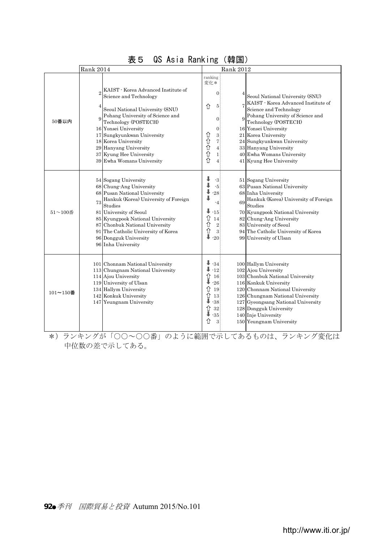|               | 11010 BULLATION<br><b>Rank 2014</b>                                                                                                                                                                                                                                                                                            | \ T++ 1=1 /<br>Rank 2012                                                                                                                                                                                                                                                                                                                                                                                                                                                                      |
|---------------|--------------------------------------------------------------------------------------------------------------------------------------------------------------------------------------------------------------------------------------------------------------------------------------------------------------------------------|-----------------------------------------------------------------------------------------------------------------------------------------------------------------------------------------------------------------------------------------------------------------------------------------------------------------------------------------------------------------------------------------------------------------------------------------------------------------------------------------------|
| 50番以内         | KAIST - Korea Advanced Institute of<br>Science and Technology<br>Seoul National University (SNU)<br>Pohang University of Science and<br>Technology (POSTECH)<br>16 Yonsei University<br>17 Sungkyunkwan University<br>18 Korea University<br>29 Hanyang University<br>37 Kyung Hee University<br>39 Ewha Womans University     | ranking<br>変化 *<br>$\mathbf{0}$<br>Seoul National University (SNU)<br>KAIST - Korea Advanced Institute of<br>介<br>5<br>Science and Technology<br>Pohang University of Science and<br>$\overline{9}$<br>$\mathbf{0}$<br>Technology (POSTECH)<br>16 Yonsei University<br>$\boldsymbol{0}$<br><b>介介介介</b><br>3<br>21 Korea University<br>7<br>24 Sungkyunkwan University<br>33 Hanyang University<br>$\overline{4}$<br>40 Ewha Womans University<br>$\mathbf{1}$<br>介<br>41 Kyung Hee University |
| $51 - 100$ 番  | 54 Sogang University<br>68 Chung-Ang University<br>68 Pusan National University<br>Hankuk (Korea) University of Foreign<br>73<br>Studies<br>81 University of Seoul<br>85 Kyungpook National University<br>87 Chonbuk National University<br>91 The Catholic University of Korea<br>96 Dongguk University<br>96 Inha University | $-3$<br>51 Sogang University<br>$-5$<br>63 Pusan National University<br>$-28$<br>68 Inha University<br>Hankuk (Korea) University of Foreign<br>69<br>$-4$<br>Studies<br>J<br>$-15$<br>70 Kyungpook National University<br>⇧<br>82 Chung-Ang University<br>14<br>⇧<br>$\,2\,$<br>83 University of Seoul<br>⇧<br>$\overline{3}$<br>94 The Catholic University of Korea<br>J<br>$-20$<br>99 University of Ulsan                                                                                  |
| $101 - 150$ 番 | 101 Chonnam National University<br>113 Chungnam National University<br>114 Ajou University<br>119 University of Ulsan<br>134 Hallym University<br>142 Konkuk University<br>147 Yeungnam University                                                                                                                             | $\downarrow$ -34<br>100 Hallym University<br>$-12$<br>102 Ajou University<br>⇧<br>103 Chonbuk National University<br>16<br>$-26$<br>116 Konkuk University<br>⇧<br>19<br>120 Chonnam National University<br>⇧<br>13<br>126 Chungnam National University<br>$-38$<br>127 Gyeongsang National University<br>⇧<br>32<br>128 Dongguk University<br>$-35$<br>140 Inje University<br>⇑<br>3<br>150 Yeungnam University                                                                               |

# 表5 QS Asia Ranking(韓国)

\*)ランキングが「○○~○○番」のように範囲で示してあるものは、ランキング変化は 中位数の差で示してある。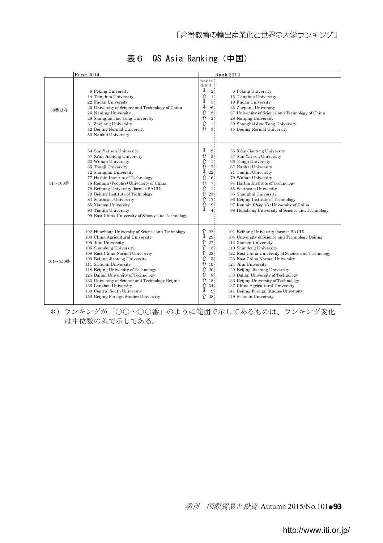|               | <b>Rank 2014</b>                                                                                                                                                                                                                                                                                                                                                                                                                                                                  |                                                          | <b>Rank 2012</b>                                                                                                         |  |                                                                                                                                                                                                                                                                                                                                                                                                                                                                                            |  |
|---------------|-----------------------------------------------------------------------------------------------------------------------------------------------------------------------------------------------------------------------------------------------------------------------------------------------------------------------------------------------------------------------------------------------------------------------------------------------------------------------------------|----------------------------------------------------------|--------------------------------------------------------------------------------------------------------------------------|--|--------------------------------------------------------------------------------------------------------------------------------------------------------------------------------------------------------------------------------------------------------------------------------------------------------------------------------------------------------------------------------------------------------------------------------------------------------------------------------------------|--|
| 50番以内         | 8 Peking University<br>14 Tsinghua University<br>22 Fudan University<br>25 University of Science and Technology of China<br>26 Nanjing University<br>28 Shanghai Jiao Tong University<br>31 Zhejiang University<br>42 Beijing Normal University<br>50 Nankai University                                                                                                                                                                                                           | ranking<br>変化*<br>ı<br>Î<br>↓<br>⇧<br>⇧<br>⇧<br>介        | $\cdot 2$<br>$\mathbf{1}$<br>$-3$<br>$-6$<br>$2\sqrt{ }$<br>$\overline{2}$<br>$\mathbf{1}$<br>3                          |  | 6 Peking University<br>15 Tsinghua University<br>19 Fudan University<br>25 Zhejiang University<br>27 University of Science and Technology of China<br>28 Nanjing University<br>29 Shanghai Jiao Tong University<br>45 Beijing Normal University                                                                                                                                                                                                                                            |  |
| $51 - 100$ 番  | 54 Sun Yat-sen University<br>57 Xi'an Jiaotong University<br>63 Wuhan University<br>65 Tongji University<br>72 Shanghai University<br>77 Harbin Institute of Technology<br>78 Renmin (People's) University of China<br>79 Beihang University (former BAUU)<br>79 Beijing Institute of Technology<br>84 Southeast University<br>85 Xiamen University<br>93 Tianjin University<br>99 East China University of Science and Technology                                                | ¥<br>⇧<br>⇧<br>⇧<br>ı<br>⇧<br>⇧<br>⇧<br>⇑<br>⇑<br>⇧<br>ı | $\cdot 2$<br>$\overline{\mathbf{3}}$<br>$\mathbf{1}$<br>17<br>$-22$<br>16<br>7<br>$\mathbf{1}$<br>23<br>17<br>19<br>$-4$ |  | 55 Xi'an Jiaotong University<br>57 Sun Yat-sen University<br>66 Tongji University<br>67 Nankai University<br>71 Tianjin University<br>79 Wuhan University<br>84 Harbin Institute of Technology<br>85 Southeast University<br>95 Shanghai University<br>96 Beijing Institute of Technology<br>97 Renmin (People's) University of China<br>98 Huazhong University of Science and Technology                                                                                                  |  |
| $101 - 150$ 番 | 102 Huazhong University of Science and Technology<br>103 China Agricultural University<br>105 Jilin University<br>106 Shandong University<br>108 East China Normal University<br>109 Beijing Jiaotong University<br>111 Sichuan University<br>118 Beijing University of Technology<br>125 Dalian University of Technology<br>133 University of Science and Technology Beijing<br>136 Lanzhou University<br>139 Central South University<br>150 Beijing Foreign Studies University | ı<br>⇧<br>⇧<br>⇧<br>⇧<br>⇑<br>⇑<br>⇧<br>⇧<br>⇧<br>↓<br>⇧ | $\hat{u}$ 22<br>$-29$<br>27<br>13<br>23<br>15<br>19<br>20<br>$\lvert 8 \rvert$<br>18<br>34<br>$-9$<br>38                 |  | 101 Beihang University (former BAUU)<br>104 University of Science and Technology Beijing<br>112 Xiamen University<br>119 Shandong University<br>122 East China University of Science and Technology<br>123 East China Normal University<br>124 Jilin University<br>129 Beijing Jiaotong University<br>133 Dalian University of Technology<br>136 Beijing University of Technology<br>137 China Agricultural University<br>141 Beijing Foreign Studies University<br>149 Sichuan University |  |

# 表 6 QS Asia Ranking (中国)

\*)ランキングが「○○~○○番」のように範囲で示してあるものは、ランキング変化 は中位数の差で示してある。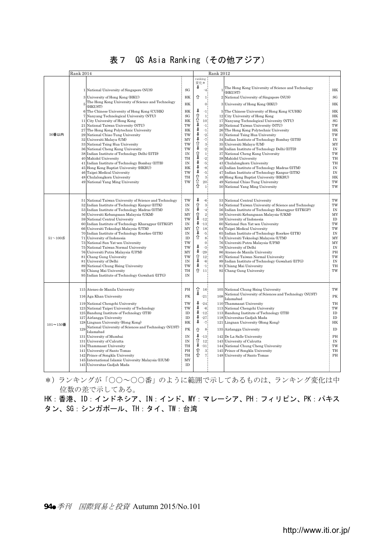|  |  |  | 表7 QS Asia Ranking (その他アジア) |  |
|--|--|--|-----------------------------|--|
|--|--|--|-----------------------------|--|

|              | Rank 2014                                                                                                                                                                                                                                                                                                                                                                                                                                                                                                                                                                                                                                                                                                                                                                                                                    |                                                                                                                              |                                                                                                                                                                                                                                                                   | <b>Rank 2012</b>                                                                                                                                                                                                                                                                                                                                                                                                                                                                                                                                                                                                                                                                                                                                                                                                                                |                                                                                                                                        |  |  |  |
|--------------|------------------------------------------------------------------------------------------------------------------------------------------------------------------------------------------------------------------------------------------------------------------------------------------------------------------------------------------------------------------------------------------------------------------------------------------------------------------------------------------------------------------------------------------------------------------------------------------------------------------------------------------------------------------------------------------------------------------------------------------------------------------------------------------------------------------------------|------------------------------------------------------------------------------------------------------------------------------|-------------------------------------------------------------------------------------------------------------------------------------------------------------------------------------------------------------------------------------------------------------------|-------------------------------------------------------------------------------------------------------------------------------------------------------------------------------------------------------------------------------------------------------------------------------------------------------------------------------------------------------------------------------------------------------------------------------------------------------------------------------------------------------------------------------------------------------------------------------------------------------------------------------------------------------------------------------------------------------------------------------------------------------------------------------------------------------------------------------------------------|----------------------------------------------------------------------------------------------------------------------------------------|--|--|--|
|              |                                                                                                                                                                                                                                                                                                                                                                                                                                                                                                                                                                                                                                                                                                                                                                                                                              |                                                                                                                              | ranking<br>変化*                                                                                                                                                                                                                                                    |                                                                                                                                                                                                                                                                                                                                                                                                                                                                                                                                                                                                                                                                                                                                                                                                                                                 |                                                                                                                                        |  |  |  |
| 50番以内        | 1 National University of Singapore (NUS)<br>3 University of Hong Kong (HKU)<br>The Hong Kong University of Science and Technology<br>5<br>(HKUST)<br>The Chinese University of Hong Kong (CUHK)<br>6<br>7<br>Nanyang Technological University (NTU)<br>11 City University of Hong Kong<br>21 National Taiwan University (NTU)<br>$\bf 27$<br>The Hong Kong Polytechnic University<br>29<br>National Chiao Tung University<br>32<br>Universiti Malaya (UM)<br>33<br>National Tsing Hua University<br>36<br>National Cheng Kung University<br>38 Indian Institute of Technology Delhi (IITD)<br>40<br>Mahidol University<br>Indian Institute of Technology Bombay (IITB)<br>41<br>45 Hong Kong Baptist University (HKBU)<br>46<br>Taipei Medical University<br>48 Chulalongkorn University<br>49 National Yang Ming University | SG<br>HК<br>HK<br><b>HK</b><br>SG<br>HK<br>TW<br><b>HK</b><br>TW<br>MY<br>TW<br>TW<br>IN<br>TH<br>IN<br>HK<br>TW<br>TH<br>TW | ı<br>$-4$<br>(HKUST)<br>⇧<br>1<br>$\overline{0}$<br>-1:<br>û<br>Û<br>1:<br>10.<br>J<br>-1:<br>ı<br>-1)<br>л<br>$-2$<br>л<br>-7¦<br>⇧<br>3i<br>J<br>$-2$<br>⇧<br>1.<br>J<br>$-2$<br>J.<br>-51<br>ı<br>-8,<br>ı<br>-51<br>⇧<br>3 <sup>1</sup><br>⇧<br>20<br>⇧<br>1İ | The Hong Kong University of Science and Technology<br>2 National University of Singapore (NUS)<br>3 University of Hong Kong (HKU)<br>5 The Chinese University of Hong Kong (CUHK)<br>12 City University of Hong Kong<br>17 Nanyang Technological University (NTU)<br>20 National Taiwan University (NTU)<br>26 The Hong Kong Polytechnic University<br>31 National Tsing Hua University<br>34 Indian Institute of Technology Bombay (IITB)<br>35 Universiti Malaya (UM)<br>36 Indian Institute of Technology Delhi (IITD)<br>37 National Cheng Kung University<br>38 Mahidol University<br>43 Chulalongkorn University<br>45 Indian Institute of Technology Madras (IITM)<br>47 Indian Institute of Technology Kanpur (IITK)<br>48 Hong Kong Baptist University (HKBU)<br>49 National Chiao Tung University<br>50 National Yang Ming University | HK<br>$_{\rm SG}$<br>HK<br>HK<br>HK<br>$_{\rm SG}$<br>TW<br>HK<br>TW<br>IN<br>MY<br>IN<br>TW<br>TH<br>TH<br>IN<br>IN<br>HK<br>TW<br>TW |  |  |  |
| $51 - 100$ 番 | 51 National Taiwan University of Science and Technology<br>52 Indian Institute of Technology Kanpur (IITK)<br>53 Indian Institute of Technology Madras (IITM)<br>56<br>Universiti Kebangsaan Malaysia (UKM)<br>59 National Central University<br>60 Indian Institute of Technology Kharagpur (HTKGP)<br>66<br>Universiti Teknologi Malaysia (UTM)<br>Indian Institute of Technology Roorkee (IITR)<br>70<br>71 University of Indonesia<br>73<br>National Sun Yat-sen University<br>75<br>National Taiwan Normal University<br>76 Universiti Putra Malaysia (UPM)<br>81<br><b>Chang Gung University</b><br>81<br>University of Delhi<br>National Chung Hsing University<br>89<br>92 Chiang Mai University<br>95 Indian Institute of Technology Guwahati (IITG)                                                                | TW<br>IN<br>IN<br>MY<br>TW<br>IN<br>MY<br>IN<br>ID<br>TW<br>TW<br>MY<br>TW<br>IN<br>TW<br>TH<br><b>IN</b>                    | J<br>-6!<br>⇧<br>3.<br>ı<br>$-4:$<br>Î<br>$_{2}$<br>$-12.$<br>J<br>$-13$<br>⇧<br>18<br>ı<br>$-5.$<br>⇧<br>$s_i$<br>o;<br>ı<br>$-3.$<br>υ<br>$-29.$<br>Î<br>12.<br>$-6$<br>ı<br>-1;<br>⇧<br>-11)                                                                   | 53 National Central University<br>54 National Taiwan University of Science and Technology<br>56 Indian Institute of Technology Kharagpur (IITKGP)<br>58 Universiti Kebangsaan Malaysia (UKM)<br>59 University of Indonesia<br>60 National Sun Yat-sen University<br>64 Taipei Medical University<br>65 Indian Institute of Technology Roorkee (IITR)<br>74 Universiti Teknologi Malaysia (UTM)<br>76 Universiti Putra Malaysia (UPM)<br>78 University of Delhi<br>86 Ateneo de Manila University<br>87 National Taiwan Normal University<br>89 Indian Institute of Technology Guwahati (IITG)<br>91 Chiang Mai University<br>92 Chang Gung University                                                                                                                                                                                           | TW<br>TW<br>IN<br>MY<br>ID<br>TW<br>TW<br>IN<br>MY<br>MY<br>IN<br>PH<br>TW<br>IN<br>TH<br>TW                                           |  |  |  |
| 101~150番     | 115 Ateneo de Manila University<br>116 Aga Khan University<br>119 National Chengchi University<br>123 National Taipei University of Technology<br>Bandung Institute of Technology (ITB)<br>125<br>Airlangga University<br>127<br>128 Lingnan University (Hong Kong)<br>National University of Sciences and Technology (NUST)<br>129<br>Islamabad<br>131 University of Mumbai<br>131 University of Calcutta<br>Thammasat University<br>134<br>University of Santo Tomas<br>141<br>142 Prince of Songkla University<br>International Islamic University Malaysia (IIUM)<br>145<br>145 Universitas Gadjah Mada                                                                                                                                                                                                                  | PH<br>PK<br>TW<br>TW<br>ID<br>ID<br>HK<br>PK<br>IN<br>IN<br>TH<br>PH<br>TH<br>MY<br>ID                                       | 16<br>$-21$<br>108<br>Islamabad<br>ı<br>$-24$<br>ı<br>$-6$<br>ı<br>$-12$<br>ı<br>$-27$<br>ı<br>$-7.$<br>$\mathbf{s}$<br>⇧<br>ı<br>$-13.$<br>⇧<br>12.<br>Ψ<br>$-31.$<br>⇧<br>3.<br>⇑<br>7İ                                                                         | 105 National Chung Hsing University<br>National University of Sciences and Technology (NUST)<br>110 Thammasat University<br>113 National Chengchi University<br>113 Bandung Institute of Technology (ITB)<br>118 Universitas Gadjah Mada<br>121 Lingnan University (Hong Kong)<br>135 Airlangga University<br>142 De La Salle University<br>143 University of Calcutta<br>144 National Chung Cheng University<br>145 Prince of Songkla University<br>148 University of Santo Tomas                                                                                                                                                                                                                                                                                                                                                              | TW<br>PK<br>TH<br>TW<br>ID<br>ID<br>HK<br>ID<br>PH<br>IN<br>TW<br>TH<br>PH                                                             |  |  |  |

\*)ランキングが「○○~○○番」のように範囲で示してあるものは、ランキング変化は中 位数の差で示してある。

HK:香港、ID:インドネシア、IN:インド、MY:マレーシア、PH:フィリピン、PK:パキス タン、SG:シンガポール、TH:タイ、TW:台湾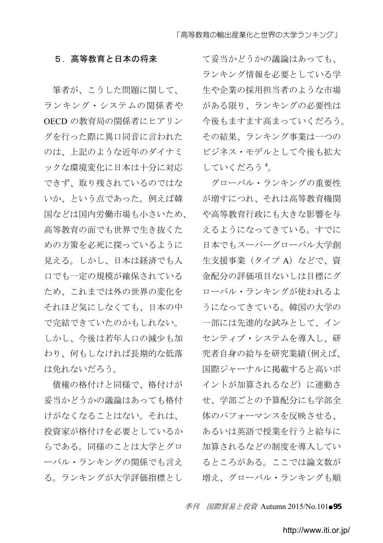### 5. 高等教育と日本の将来

筆者が、こうした問題に関して、 ランキング・システムの関係者や OECD の教育局の関係者にヒアリン グを行った際に異口同音に言われた のは、上記のような近年のダイナミ ックな環境変化に日本は十分に対応 できず、取り残されているのではな いか、という点であった。例えば韓 国などは国内労働市場も小さいため、 高等教育の面でも世界で生き抜くた めの方策を必死に探っているように 見える。しかし、日本は経済でも人 口でも一定の規模が確保されている ため、これまでは外の世界の変化を それほど気にしなくても、日本の中 で完結できていたのかもしれない。 しかし、今後は若年人口の減少も加 わり、何もしなければ長期的な低落 は免れないだろう。

債権の格付けと同様で、格付けが 妥当かどうかの議論はあっても格付 けがなくなることはない。それは、 投資家が格付けを必要としているか らである。同様のことは大学とグロ ーバル・ランキングの関係でも言え る。ランキングが大学評価指標とし て妥当かどうかの議論はあっても、 ランキング情報を必要としている学 生や企業の採用担当者のような市場 がある限り、ランキングの必要性は 今後もますます高まっていくだろう。 その結果、ランキング事業は一つの ビジネス・モデルとして今後も拡大 していくだろう<sup>4</sup>。

グローバル・ランキングの重要性 が増すにつれ、それは高等教育機関 や高等教育行政にも大きな影響を与 えるようになってきている。すでに 日本でもスーパーグローバル大学創 生支援事業 (タイプ A) などで、資 金配分の評価項目ないしは目標にグ ローバル・ランキングが使われるよ うになってきている。韓国の大学の 一部には先進的な試みとして、イン センティブ・システムを導入し、研 究者自身の給与を研究業績(例えば、 国際ジャーナルに掲載すると高いポ イントが加算されるなど)に連動さ せ、学部ごとの予算配分にも学部全 体のパフォーマンスを反映させる、 あるいは英語で授業を行うと給与に 加算されるなどの制度を導入してい るところがある。ここでは論文数が 増え、グローバル・ランキングも順

季刊 国際貿易と投資 Autumn 2015/No.101●95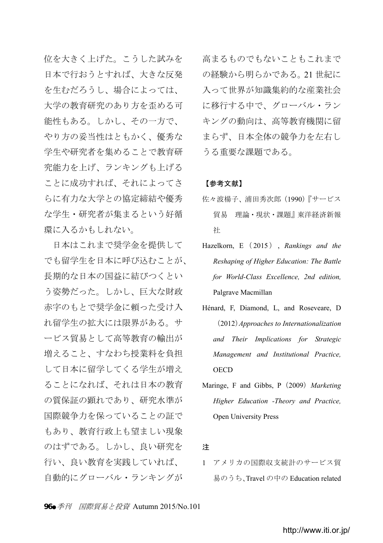位を大きく上げた。こうした試みを 日本で行おうとすれば、大きな反発 を生むだろうし、場合によっては、 大学の教育研究のあり方を歪める可 能性もある。しかし、その一方で、 やり方の妥当性はともかく、優秀な 学生や研究者を集めることで教育研 究能力を上げ、ランキングも上げる ことに成功すれば、それによってさ らに有力な大学との協定締結や優秀 な学生・研究者が集まるという好循 環に入るかもしれない。

日本はこれまで奨学金を提供して でも留学生を日本に呼び込むことが、 長期的な日本の国益に結びつくとい う姿勢だった。しかし、巨大な財政 赤字のもとで奨学金に頼った受け入 れ留学生の拡大には限界がある。サ ービス貿易として高等教育の輸出が 増えること、すなわち授業料を負担 して日本に留学してくる学生が増え ることになれば、それは日本の教育 の質保証の顕れであり、研究水準が 国際競争力を保っていることの証で もあり、教育行政上も望ましい現象 のはずである。しかし、良い研究を 行い、良い教育を実践していれば、 自動的にグローバル・ランキングが

高まるものでもないこともこれまで の経験から明らかである。21 世紀に 入って世界が知識集約的な産業社会 に移行する中で、グローバル・ラン キングの動向は、高等教育機関に留 まらず、日本全体の競争力を左右し うる重要な課題である。

### 【参考文献】

- 佐々波楊子、浦田秀次郎(1990)『サービス 貿易 理論・現状・課題』東洋経済新報 社
- Hazelkorn, E( 2015 ) , *Rankings and the Reshaping of Higher Education: The Battle for World-Class Excellence, 2nd edition,*  Palgrave Macmillan
- Hénard, F, Diamond, L, and Roseveare, D (2012)*Approaches to Internationalization and Their Implications for Strategic Management and Institutional Practice,*  **OECD**
- Maringe, F and Gibbs, P(2009)*Marketing Higher Education -Theory and Practice,*  Open University Press

### 注

1 アメリカの国際収支統計のサービス貿 易のうち、Travel の中の Education related

96●季刊 国際貿易と投資 Autumn 2015/No.101